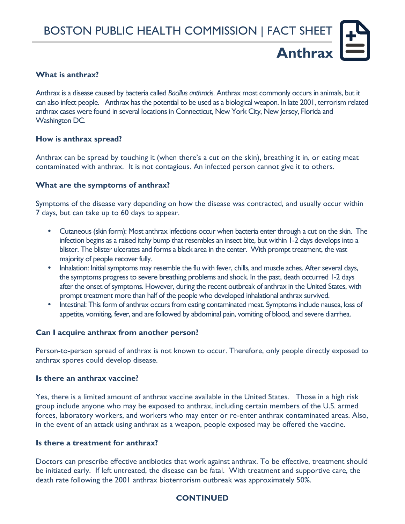## **What is anthrax?**

Anthrax is a disease caused by bacteria called *Bacillus anthracis*. Anthrax most commonly occurs in animals, but it can also infect people. Anthrax has the potential to be used as a biological weapon. In late 2001, terrorism related anthrax cases were found in several locations in Connecticut, New York City, New Jersey, Florida and Washington DC.

### **How is anthrax spread?**

Anthrax can be spread by touching it (when there's a cut on the skin), breathing it in, or eating meat contaminated with anthrax. It is not contagious. An infected person cannot give it to others.

## **What are the symptoms of anthrax?**

Symptoms of the disease vary depending on how the disease was contracted, and usually occur within 7 days, but can take up to 60 days to appear.

- Cutaneous (skin form): Most anthrax infections occur when bacteria enter through a cut on the skin. The infection begins as a raised itchy bump that resembles an insect bite, but within 1-2 days develops into a blister. The blister ulcerates and forms a black area in the center. With prompt treatment, the vast majority of people recover fully.
- Inhalation: Initial symptoms may resemble the flu with fever, chills, and muscle aches. After several days, the symptoms progress to severe breathing problems and shock. In the past, death occurred 1-2 days after the onset of symptoms. However, during the recent outbreak of anthrax in the United States, with prompt treatment more than half of the people who developed inhalational anthrax survived.
- Intestinal: This form of anthrax occurs from eating contaminated meat. Symptoms include nausea, loss of appetite, vomiting, fever, and are followed by abdominal pain, vomiting of blood, and severe diarrhea.

## **Can I acquire anthrax from another person?**

Person-to-person spread of anthrax is not known to occur. Therefore, only people directly exposed to anthrax spores could develop disease.

### **Is there an anthrax vaccine?**

Yes, there is a limited amount of anthrax vaccine available in the United States. Those in a high risk group include anyone who may be exposed to anthrax, including certain members of the U.S. armed forces, laboratory workers, and workers who may enter or re-enter anthrax contaminated areas. Also, in the event of an attack using anthrax as a weapon, people exposed may be offered the vaccine.

#### **Is there a treatment for anthrax?**

Doctors can prescribe effective antibiotics that work against anthrax. To be effective, treatment should be initiated early. If left untreated, the disease can be fatal. With treatment and supportive care, the death rate following the 2001 anthrax bioterrorism outbreak was approximately 50%.

## **CONTINUED**